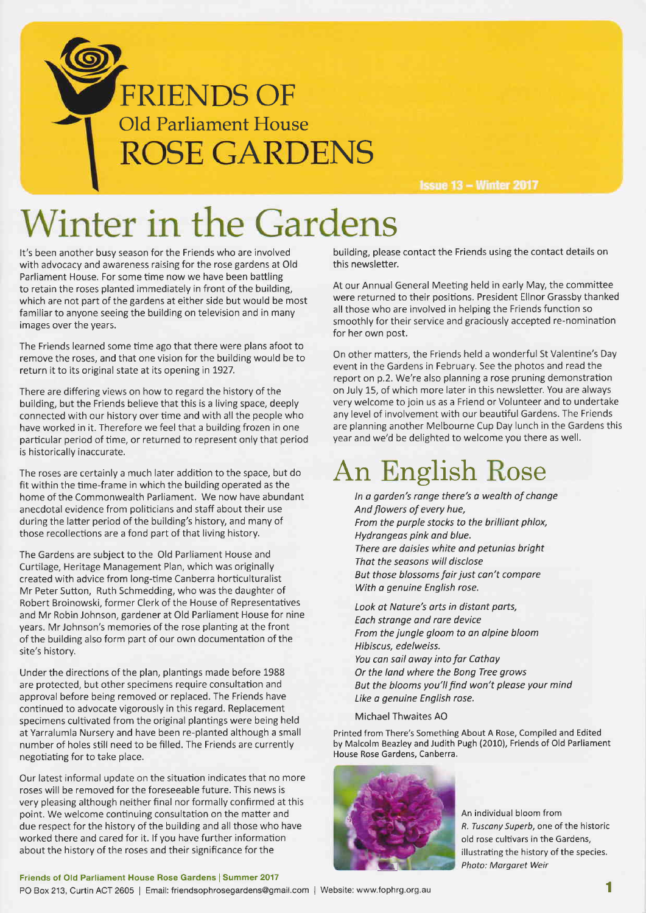

**Issue 13 - Winter 2017** 

## Winter in the Gardens

It's been another busy season for the Friends who are involved with advocacy and awareness raising for the rose gardens at Old Parliament House. For some time now we have been battling to retain the roses planted immediately in front of the building, which are not part of the gardens at either side but would be most familiar to anyone seeing the building on television and in many images over the years.

The Friends learned some time ago that there were plans afoot to remove the roses, and that one vision for the building would be to return it to its original state at its opening in 7927.

There are differing views on how to regard the history of the building, but the Friends believe that this is a living space, deeply connected with our history over time and with all the people who have worked in it. Therefore we feel that a building frozen in one particular period of time, or returned to represent only that period is historically inaccurate.

The roses are certainly a much later addition to the space, but do fit within the time-frame in which the building operated as the home of the Commonwealth Parliament. We now have abundant anecdotal evidence from politicians and staff about their use during the latter period of the building's history, and many of those recollections are a fond part of that living history.

The Gardens are subject to the Old Parliament House and Curtilage, Heritage Management Plan, which was originally created with advice from long-time Canberra horficulturalist Mr Peter Sutton, Ruth Schmedding, who was the daughter of Robert Broinowski, former Clerk of the House of Representatives and Mr Robin Johnson, gardener at Old Parliament House for nine years. Mr Johnson's memories of the rose planting at the front of the building also form part of our own documentation of the site's history.

Under the directions of the plan, plantings made before 1988 are protected, but other specimens require consultation and approval before being removed or replaced. The Friends have continued to advocate vigorously in this regard. Replacement specimens cultivated from the original plantings were being held at Yarralumla Nursery and have been re-planted although a small number of holes still need to be filled. The Friends are currently negotiating for to take place.

Our latest informal update on the situation indicates that no more roses will be removed for the foreseeable future. This news is very pleasing although neither final nor formally confirmed at this point. We welcome continuing consultation on the matter and due respect for the history of the building and all those who have worked there and cared for it. lf you have further information about the history of the roses and their significance for the

Friends of Old Parliament House Rose Gardens I Summer 2017

PO Box 213, Curtin ACT 2605 | Email: friendsophrosegardens@gmail.com | Website: www.fophrg.org.au

building, please contact the Friends using the contact details on this newsletter.

At our Annual General Meeting held in early May, the committee were returned to their positions. President Ellnor Grassby thanked all those who are involved in helping the Friends function so smoothly for their service and graciously accepted re-nomination for her own post.

On other matters, the Friends held a wonderful St Valentine's Day event in the Gardens in February. See the photos and read the report on p.2. We're also planning a rose pruning demonstration on July 15, of which more later in this newsletter. You are always very welcome to join us as a Friend or Volunteer and to undertake any level of involvement with our beautiful Gardens. The Friends are planning another Melbourne Cup Day lunch in the Gardens this year and we'd be delighted to welcome you there as well.

#### An English Rose

ln o garden's ronge there's a wealth of chonge And flowers of every hue, From the purple stocks to the brilliant phlox, Hydrangeos pink and blue. There are daisies white and petunios bright That the seasons will disclose But those blossoms fair just con't compore With a genuine English rose.

Look at Noture's orts in distant ports, Each strange and rare device From the jungle gloom to an alpine bloom Hibiscus, edelweiss. You can sail away into far Cathay Or the land where the Bong Tree grows But the blooms you'll find won't please your mind Like o genuine English rose.

Michael Thwaites AO

Printed from There's Something About A Rose, Compiled and Edited by Malcolm Beazley and Judith Pugh (2010), Friends of Old Parliament House Rose Gardens, Canberra.



An individual bloom from R. Tuscony Superb, one of the historic old rose cultivars in the Gardens, illustrating the history of the species. Photo: Margaret Weir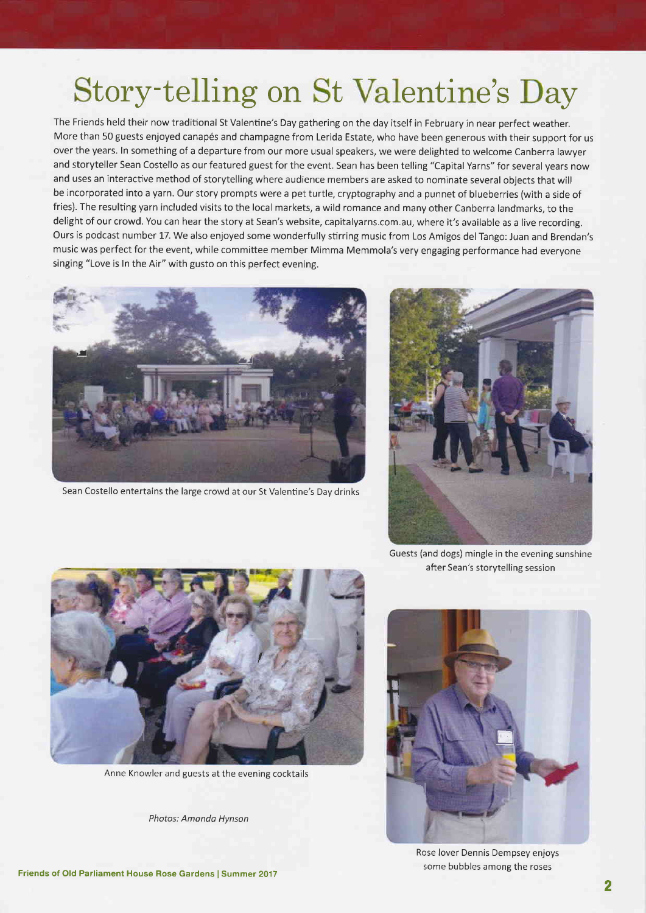### Story-telling on St Valentine's Day

The Friends held their now traditional St Valentine's Day gathering on the day itself in February in near perfect weather. More than 50 guests enjoyed canapés and champagne from Lerida Estate, who have been generous with their support for us over the years. ln something of a departure from our more usual speakers, we were delighted to welcome Canberra lawyer and storyteller Sean Costello as our featured guest for the event. Sean has been telling "Capital Yarns" for several years now and uses an interactive method of storytelling where audience members are asked to nominate several objects that will be incorporated into a yarn. Our story prompts were a pet turtle, cryptography and a punnet of blueberries (with a side of fries). The resulting yarn included visits to the local markets, a wild romance and many other Canberra landmarks, to the delight of our crowd. You can hear the story at Sean's website, capitalyarns.com.au, where it's available as a live recording. Ours is podcast number 17. We also enjoyed some wonderfully stirring music from Los Amigos del Tango: Juan and Brendan's music was perfect for the event, while committee member Mimma Memmola's very engaging performance had everyone



Sean Costello entertains the large crowd at our St Valentine's Day drinks





Anne Knowler and guests at the evening cocktails

Photos: Amondo Hynson

Guests (and dogs) mingle in the evening sunshine after Sean's storytelling session



Rose lover Dennis Dempsey enjoys some bubbles among the roses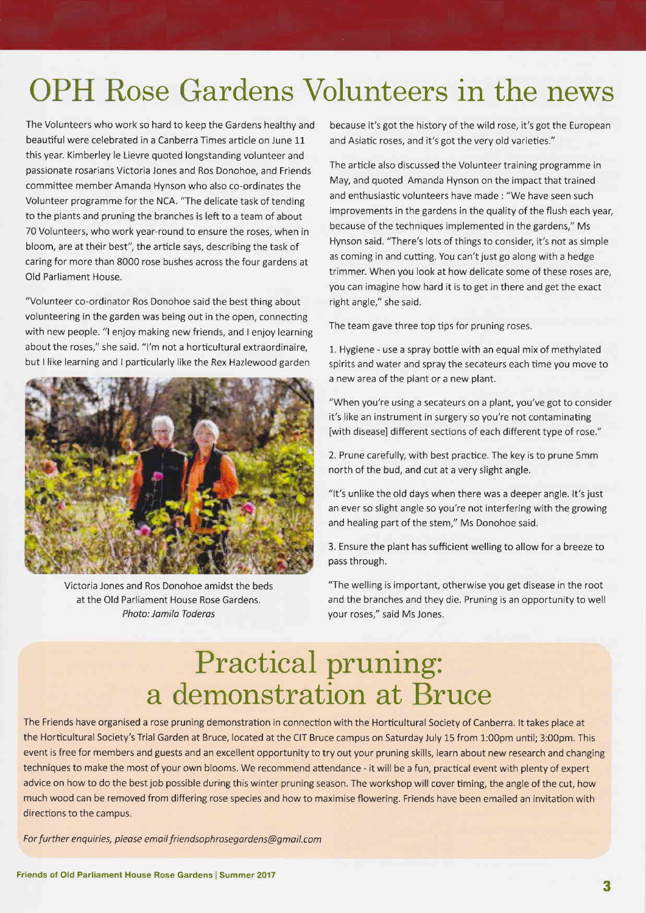#### OPH Rose Gardens Volunteers in the news

The Volunteers who work so hard to keep the Gardens healthy and beautiful were celebrated in a Canberra Times article on June 11 this year. Kimberley le Lievre quoted longstanding volunteer and passionate rosarians Victoria Jones and Ros Donohoe, and Friends committee member Amanda Hynson who also co-ordinates the Volunteer programme for the NCA. "The delicate task of tending to the plants and pruning the branches is left to a team of about 70 Volunteers, who work year-round to ensure the roses, when in bloom, are at their best", the article says, describing the task of caring for more than 8000 rose bushes across the four gardens at Old Parliament House.

"Volunteer co-ordinator Ros Donohoe said the best thing about volunteering in the garden was being out in the open, connecting with new people. "l enjoy making new friends, and I enjoy learning about the roses," she said. "l'm not a horticultural extraordinaire, but I like learning and I particularly like the Rex Hazlewood garden



Victoria Jones and Ros Donohoe amidst the beds at the Old Parliament House Rose Gardens. Photo: Jamila Toderas

because it's got the history of the wild rose, it's got the European and Asiatic roses, and it's got the very old varieties."

The article also discussed the Volunteer training programme in May, and quoted Amanda Hynson on the impact that trained and enthusiastic volunteers have made : "We have seen such improvements in the gardens in the quality of the flush each year, because of the techniques implemented in the gardens," Ms Hynson said. "There's lots of things to consider, it's not as simple as coming in and cutting. You can't just go along with a hedge trimmer. When you look at how delicate some of these roses are, you can imagine how hard it is to get in there and get the exact right angle," she said.

The team gave three top tips for pruning roses.

1. Hygiene - use a spray bottle with an equal mix of methylated spirits and water and spray the secateurs each time you move to a new area of the plant or a new plant.

"When you're using a secateurs on a plant, you've got to consider it's like an instrument in surgery so you're not contaminating [with disease] different sections of each different type of rose."

2. Prune carefully, with best practice. The key is to prune 5mm north of the bud, and cut at a very slight angle.

"lt's unlike the old days when there was a deeper angle. lt's just an ever so slight angle so you're not interfering with the growing and healing part of the stem," Ms Donohoe said.

3. Ensure the plant has sufficient welling to allow for a breeze to pass through.

"The welling is important, otherwise you get disease in the root and the branches and they die. Pruning is an opportunity to well your roses," said Ms Jones.

#### Practical pruning: a demonstration at Bruce

The Friends have organised a rose pruning demonstration in connection with the Horticultural Society of Canberra. lt takes place at the Horticultural Society's Trial Garden at Bruce, located at the CIT Bruce campus on Saturday July 15 from 1:00pm until; 3:00pm. This event is free for members and guests and an excellent opportunity to try out your pruning skills, learn about new research and changing techniques to make the most of your own blooms. We recommend attendance - it will be a fun, practical event with plenty of expert advice on how to do the best job possible during this winter pruning season. The workshop will cover timing, the angle of the cut, how much wood can be removed from differing rose species and how to maximise flowering. Friends have been emailed an invitation with directions to the campus.

For further enquiries, please email friendsophrosegardens@qmail.com